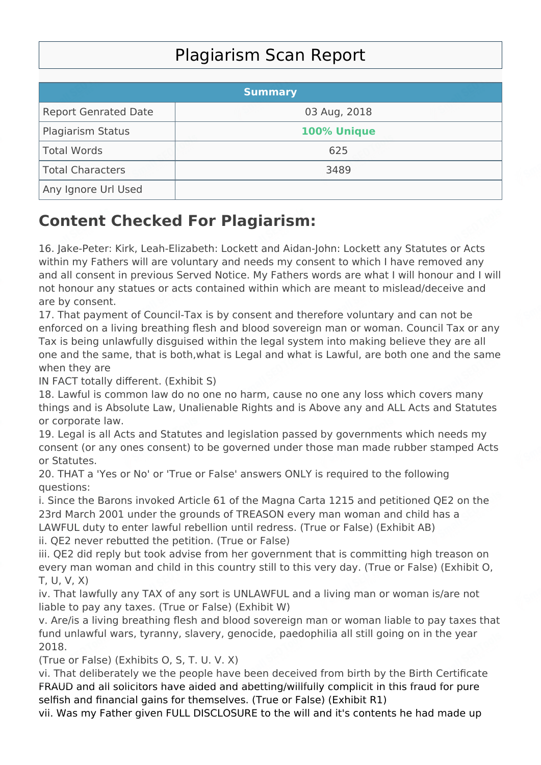## Plagiarism Scan Report

|                             | <b>Summary</b> |  |
|-----------------------------|----------------|--|
| <b>Report Genrated Date</b> | 03 Aug, 2018   |  |
| <b>Plagiarism Status</b>    | 100% Unique    |  |
| Total Words                 | 625            |  |
| Total Characters            | 3489           |  |
| Any Ignore Url Used         |                |  |

## **Content Checked For Plagiarism:**

16. Jake-Peter: Kirk, Leah-Elizabeth: Lockett and Aidan-John: Lockett any Statutes or Acts within my Fathers will are voluntary and needs my consent to which I have removed any and all consent in previous Served Notice. My Fathers words are what I will honour and I will not honour any statues or acts contained within which are meant to mislead/deceive and are by consent.

17. That payment of Council-Tax is by consent and therefore voluntary and can not be enforced on a living breathing flesh and blood sovereign man or woman. Council Tax or any Tax is being unlawfully disguised within the legal system into making believe they are all one and the same, that is both,what is Legal and what is Lawful, are both one and the same when they are

IN FACT totally different. (Exhibit S)

18. Lawful is common law do no one no harm, cause no one any loss which covers many things and is Absolute Law, Unalienable Rights and is Above any and ALL Acts and Statutes or corporate law.

19. Legal is all Acts and Statutes and legislation passed by governments which needs my consent (or any ones consent) to be governed under those man made rubber stamped Acts or Statutes.

20. THAT a 'Yes or No' or 'True or False' answers ONLY is required to the following questions:

i. Since the Barons invoked Article 61 of the Magna Carta 1215 and petitioned QE2 on the 23rd March 2001 under the grounds of TREASON every man woman and child has a LAWFUL duty to enter lawful rebellion until redress. (True or False) (Exhibit AB) ii. QE2 never rebutted the petition. (True or False)

iii. QE2 did reply but took advise from her government that is committing high treason on every man woman and child in this country still to this very day. (True or False) (Exhibit O, T, U, V, X)

iv. That lawfully any TAX of any sort is UNLAWFUL and a living man or woman is/are not liable to pay any taxes. (True or False) (Exhibit W)

v. Are/is a living breathing flesh and blood sovereign man or woman liable to pay taxes that fund unlawful wars, tyranny, slavery, genocide, paedophilia all still going on in the year 2018.

(True or False) (Exhibits O, S, T. U. V. X)

vi. That deliberately we the people have been deceived from birth by the Birth Certificate FRAUD and all solicitors have aided and abetting/willfully complicit in this fraud for pure selfish and financial gains for themselves. (True or False) (Exhibit R1)

vii. Was my Father given FULL DISCLOSURE to the will and it's contents he had made up